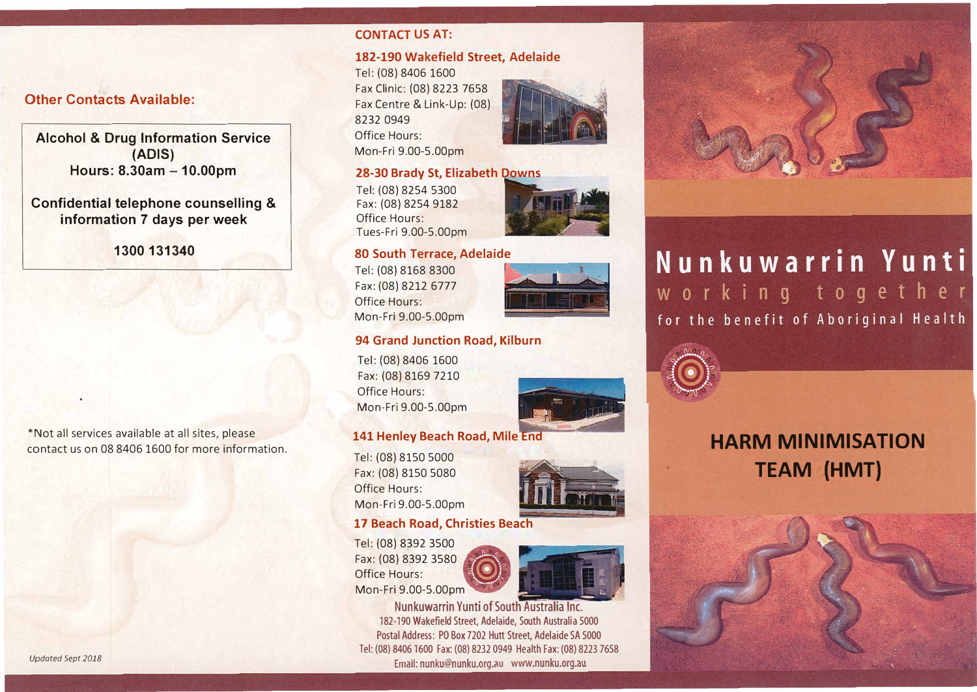# **Other Contacts Available:**

**Alcohol & Drug Information Service (ADIS) Hours: 8.30am - 10.00pm** 

**Confidential telephone counselling & information 7 days per week** 

**1300 131340** 

\*Not all services available at all sites, please contact us on 08 8406 1600 for more information.

### **CONTACT US AT:**

### **182-190 Wakefield Street, Adelaide**

Tel: (08) 8406 1600 Fax Clinic: (08) 8223 7658 Fax Centre & Link-Up: (08) 8232 0949 Office Hours: Mon-Fri 9.00-5.00pm



### **28-30 Brady St, Elizabeth Downs**

Tel: (08) 8254 5300 Fax: (08) 8254 9182 Office Hours: Tues-Fri 9.00-5.00pm



### **80 South Terrace, Adelaide**

Tel: (08) 8168 8300 Fax: (08) 8212 6777 Office Hours: Mon-Fri 9.00-5.00pm



### **94 Grand Junction Road, Kilburn**

Tel: (08) 8406 1600 Fax: (08) 8169 7210 Office Hours: Mon-Fri 9.00-5.00pm

### **141 Henley Beach Road, Mile End**

Tel: (08) 8150 5000 Fax: (08) 8150 5080 Office Hours: Mon-Fri 9.00-5.00pm



--�

# **17 Beach Road, Christies Beach**

Tel: (08) 8392 3500



Nunkuwarrin Yunti of South Australia Inc. 182-190 Wakefield Street, Adelaide, South Australia 5000 Postal Address: PO Box 7202 Hutt Street, Adelaide SA 5000 Tel: (08) 84061600 Fax: (08) 8232 0949 Health Fax: (08) 8223 7658 Email: nunku@nunku.org.au www.nunku.org.au



# Nunkuwarrin Yunti working together for the benefit of Aboriginal Health



# **HARM MINIMISATION TEAM (HMT)**